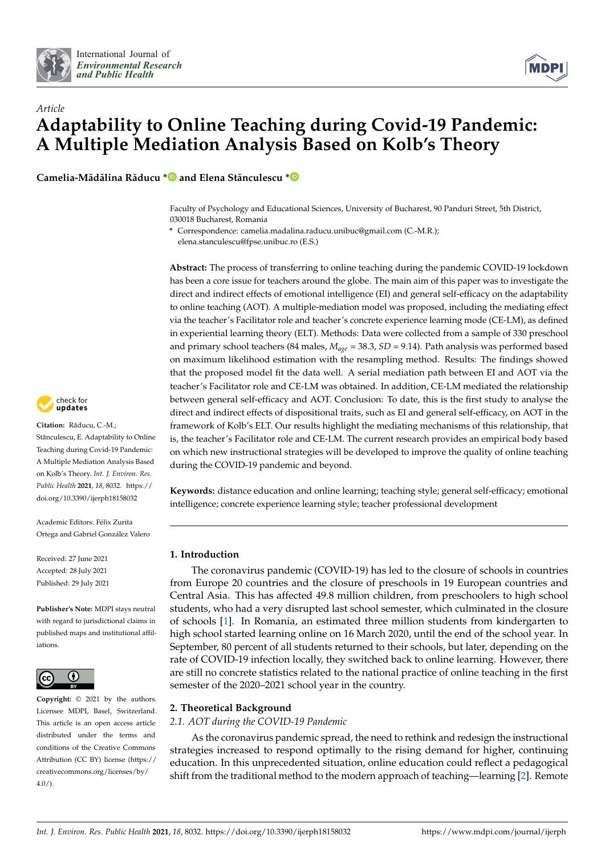



# *Article* **Adaptability to Online Teaching during Covid-19 Pandemic: A Multiple Mediation Analysis Based on Kolb's Theory**

**Camelia-Mădălina Răducu [\\*](https://orcid.org/0000-0002-3897-4850) and Elena Stănculescu [\\*](https://orcid.org/0000-0002-3912-812X)**

Faculty of Psychology and Educational Sciences, University of Bucharest, 90 Panduri Street, 5th District, 030018 Bucharest, Romania

**\*** Correspondence: camelia.madalina.raducu.unibuc@gmail.com (C.-M.R.); elena.stanculescu@fpse.unibuc.ro (E.S.)

**Abstract:** The process of transferring to online teaching during the pandemic COVID-19 lockdown has been a core issue for teachers around the globe. The main aim of this paper was to investigate the direct and indirect effects of emotional intelligence (EI) and general self-efficacy on the adaptability to online teaching (AOT). A multiple-mediation model was proposed, including the mediating effect via the teacher's Facilitator role and teacher's concrete experience learning mode (CE-LM), as defined in experiential learning theory (ELT). Methods: Data were collected from a sample of 330 preschool and primary school teachers (84 males, *Mage* = 38.3, *SD* = 9.14). Path analysis was performed based on maximum likelihood estimation with the resampling method. Results: The findings showed that the proposed model fit the data well. A serial mediation path between EI and AOT via the teacher's Facilitator role and CE-LM was obtained. In addition, CE-LM mediated the relationship between general self-efficacy and AOT. Conclusion: To date, this is the first study to analyse the direct and indirect effects of dispositional traits, such as EI and general self-efficacy, on AOT in the framework of Kolb's ELT. Our results highlight the mediating mechanisms of this relationship, that is, the teacher's Facilitator role and CE-LM. The current research provides an empirical body based on which new instructional strategies will be developed to improve the quality of online teaching during the COVID-19 pandemic and beyond.

**Keywords:** distance education and online learning; teaching style; general self-efficacy; emotional intelligence; concrete experience learning style; teacher professional development

## **1. Introduction**

The coronavirus pandemic (COVID-19) has led to the closure of schools in countries from Europe 20 countries and the closure of preschools in 19 European countries and Central Asia. This has affected 49.8 million children, from preschoolers to high school students, who had a very disrupted last school semester, which culminated in the closure of schools [\[1\]](#page-10-0). In Romania, an estimated three million students from kindergarten to high school started learning online on 16 March 2020, until the end of the school year. In September, 80 percent of all students returned to their schools, but later, depending on the rate of COVID-19 infection locally, they switched back to online learning. However, there are still no concrete statistics related to the national practice of online teaching in the first semester of the 2020–2021 school year in the country.

## **2. Theoretical Background**

*2.1. AOT during the COVID-19 Pandemic*

As the coronavirus pandemic spread, the need to rethink and redesign the instructional strategies increased to respond optimally to the rising demand for higher, continuing education. In this unprecedented situation, online education could reflect a pedagogical shift from the traditional method to the modern approach of teaching—learning [\[2\]](#page-10-1). Remote



Citation: Răducu, C.-M.; Stănculescu, E. Adaptability to Online Teaching during Covid-19 Pandemic: A Multiple Mediation Analysis Based on Kolb's Theory. *Int. J. Environ. Res. Public Health* **2021**, *18*, 8032. [https://](https://doi.org/10.3390/ijerph18158032) [doi.org/10.3390/ijerph18158032](https://doi.org/10.3390/ijerph18158032)

Academic Editors: Félix Zurita Ortega and Gabriel González Valero

Received: 27 June 2021 Accepted: 28 July 2021 Published: 29 July 2021

**Publisher's Note:** MDPI stays neutral with regard to jurisdictional claims in published maps and institutional affiliations.



**Copyright:** © 2021 by the authors. Licensee MDPI, Basel, Switzerland. This article is an open access article distributed under the terms and conditions of the Creative Commons Attribution (CC BY) license (https:/[/](https://creativecommons.org/licenses/by/4.0/) [creativecommons.org/licenses/by/](https://creativecommons.org/licenses/by/4.0/) 4.0/).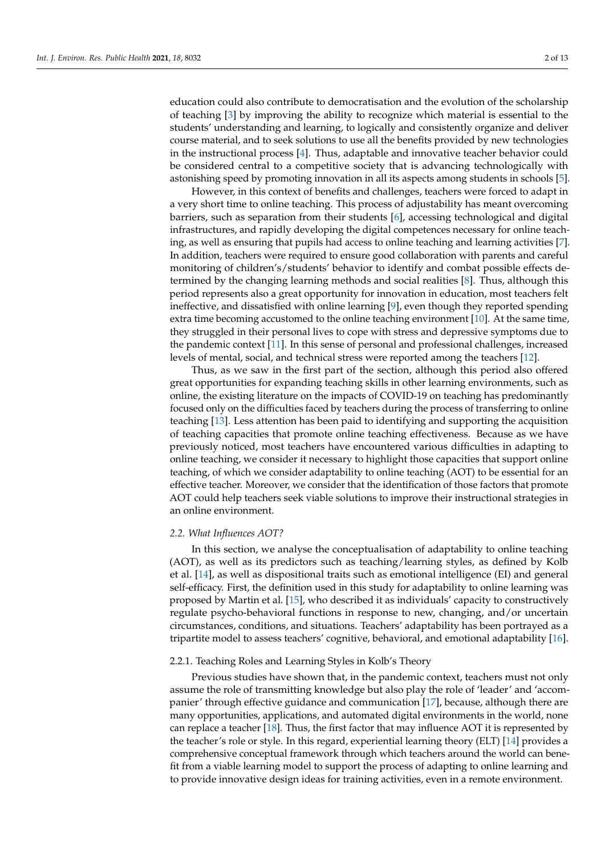education could also contribute to democratisation and the evolution of the scholarship of teaching [\[3\]](#page-10-2) by improving the ability to recognize which material is essential to the students' understanding and learning, to logically and consistently organize and deliver course material, and to seek solutions to use all the benefits provided by new technologies in the instructional process [\[4\]](#page-10-3). Thus, adaptable and innovative teacher behavior could be considered central to a competitive society that is advancing technologically with astonishing speed by promoting innovation in all its aspects among students in schools [\[5\]](#page-10-4).

However, in this context of benefits and challenges, teachers were forced to adapt in a very short time to online teaching. This process of adjustability has meant overcoming barriers, such as separation from their students [\[6\]](#page-10-5), accessing technological and digital infrastructures, and rapidly developing the digital competences necessary for online teaching, as well as ensuring that pupils had access to online teaching and learning activities [\[7\]](#page-10-6). In addition, teachers were required to ensure good collaboration with parents and careful monitoring of children's/students' behavior to identify and combat possible effects determined by the changing learning methods and social realities [\[8\]](#page-10-7). Thus, although this period represents also a great opportunity for innovation in education, most teachers felt ineffective, and dissatisfied with online learning [\[9\]](#page-10-8), even though they reported spending extra time becoming accustomed to the online teaching environment [\[10\]](#page-10-9). At the same time, they struggled in their personal lives to cope with stress and depressive symptoms due to the pandemic context [\[11\]](#page-10-10). In this sense of personal and professional challenges, increased levels of mental, social, and technical stress were reported among the teachers [\[12\]](#page-10-11).

Thus, as we saw in the first part of the section, although this period also offered great opportunities for expanding teaching skills in other learning environments, such as online, the existing literature on the impacts of COVID-19 on teaching has predominantly focused only on the difficulties faced by teachers during the process of transferring to online teaching [\[13\]](#page-10-12). Less attention has been paid to identifying and supporting the acquisition of teaching capacities that promote online teaching effectiveness. Because as we have previously noticed, most teachers have encountered various difficulties in adapting to online teaching, we consider it necessary to highlight those capacities that support online teaching, of which we consider adaptability to online teaching (AOT) to be essential for an effective teacher. Moreover, we consider that the identification of those factors that promote AOT could help teachers seek viable solutions to improve their instructional strategies in an online environment.

### *2.2. What Influences AOT?*

In this section, we analyse the conceptualisation of adaptability to online teaching (AOT), as well as its predictors such as teaching/learning styles, as defined by Kolb et al. [\[14\]](#page-10-13), as well as dispositional traits such as emotional intelligence (EI) and general self-efficacy. First, the definition used in this study for adaptability to online learning was proposed by Martin et al. [\[15\]](#page-10-14), who described it as individuals' capacity to constructively regulate psycho-behavioral functions in response to new, changing, and/or uncertain circumstances, conditions, and situations. Teachers' adaptability has been portrayed as a tripartite model to assess teachers' cognitive, behavioral, and emotional adaptability [\[16\]](#page-10-15).

## 2.2.1. Teaching Roles and Learning Styles in Kolb's Theory

Previous studies have shown that, in the pandemic context, teachers must not only assume the role of transmitting knowledge but also play the role of 'leader' and 'accompanier' through effective guidance and communication [\[17\]](#page-10-16), because, although there are many opportunities, applications, and automated digital environments in the world, none can replace a teacher [\[18\]](#page-10-17). Thus, the first factor that may influence AOT it is represented by the teacher's role or style. In this regard, experiential learning theory (ELT) [\[14\]](#page-10-13) provides a comprehensive conceptual framework through which teachers around the world can benefit from a viable learning model to support the process of adapting to online learning and to provide innovative design ideas for training activities, even in a remote environment.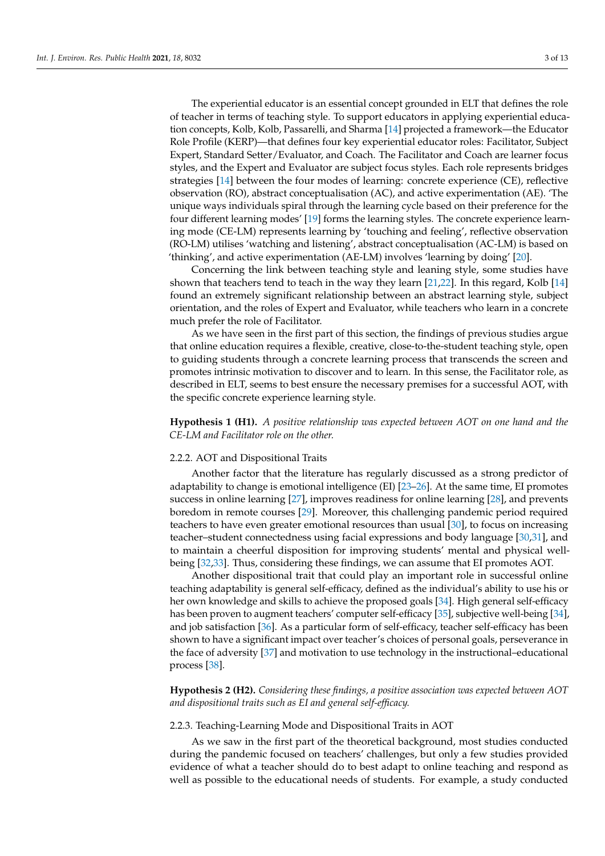The experiential educator is an essential concept grounded in ELT that defines the role of teacher in terms of teaching style. To support educators in applying experiential education concepts, Kolb, Kolb, Passarelli, and Sharma [\[14\]](#page-10-13) projected a framework—the Educator Role Profile (KERP)—that defines four key experiential educator roles: Facilitator, Subject Expert, Standard Setter/Evaluator, and Coach. The Facilitator and Coach are learner focus styles, and the Expert and Evaluator are subject focus styles. Each role represents bridges strategies [\[14\]](#page-10-13) between the four modes of learning: concrete experience (CE), reflective observation (RO), abstract conceptualisation (AC), and active experimentation (AE). 'The unique ways individuals spiral through the learning cycle based on their preference for the four different learning modes' [\[19\]](#page-11-0) forms the learning styles. The concrete experience learning mode (CE-LM) represents learning by 'touching and feeling', reflective observation (RO-LM) utilises 'watching and listening', abstract conceptualisation (AC-LM) is based on 'thinking', and active experimentation (AE-LM) involves 'learning by doing' [\[20\]](#page-11-1).

Concerning the link between teaching style and leaning style, some studies have shown that teachers tend to teach in the way they learn [\[21,](#page-11-2)[22\]](#page-11-3). In this regard, Kolb [\[14\]](#page-10-13) found an extremely significant relationship between an abstract learning style, subject orientation, and the roles of Expert and Evaluator, while teachers who learn in a concrete much prefer the role of Facilitator.

As we have seen in the first part of this section, the findings of previous studies argue that online education requires a flexible, creative, close-to-the-student teaching style, open to guiding students through a concrete learning process that transcends the screen and promotes intrinsic motivation to discover and to learn. In this sense, the Facilitator role, as described in ELT, seems to best ensure the necessary premises for a successful AOT, with the specific concrete experience learning style.

# **Hypothesis 1 (H1).** *A positive relationship was expected between AOT on one hand and the CE-LM and Facilitator role on the other.*

#### 2.2.2. AOT and Dispositional Traits

Another factor that the literature has regularly discussed as a strong predictor of adaptability to change is emotional intelligence (EI) [\[23–](#page-11-4)[26\]](#page-11-5). At the same time, EI promotes success in online learning [\[27\]](#page-11-6), improves readiness for online learning [\[28\]](#page-11-7), and prevents boredom in remote courses [\[29\]](#page-11-8). Moreover, this challenging pandemic period required teachers to have even greater emotional resources than usual [\[30\]](#page-11-9), to focus on increasing teacher–student connectedness using facial expressions and body language [\[30,](#page-11-9)[31\]](#page-11-10), and to maintain a cheerful disposition for improving students' mental and physical wellbeing [\[32,](#page-11-11)[33\]](#page-11-12). Thus, considering these findings, we can assume that EI promotes AOT.

Another dispositional trait that could play an important role in successful online teaching adaptability is general self-efficacy, defined as the individual's ability to use his or her own knowledge and skills to achieve the proposed goals [\[34\]](#page-11-13). High general self-efficacy has been proven to augment teachers' computer self-efficacy [\[35\]](#page-11-14), subjective well-being [\[34\]](#page-11-13), and job satisfaction [\[36\]](#page-11-15). As a particular form of self-efficacy, teacher self-efficacy has been shown to have a significant impact over teacher's choices of personal goals, perseverance in the face of adversity [\[37\]](#page-11-16) and motivation to use technology in the instructional–educational process [\[38\]](#page-11-17).

# **Hypothesis 2 (H2).** *Considering these findings, a positive association was expected between AOT and dispositional traits such as EI and general self-efficacy.*

#### 2.2.3. Teaching-Learning Mode and Dispositional Traits in AOT

As we saw in the first part of the theoretical background, most studies conducted during the pandemic focused on teachers' challenges, but only a few studies provided evidence of what a teacher should do to best adapt to online teaching and respond as well as possible to the educational needs of students. For example, a study conducted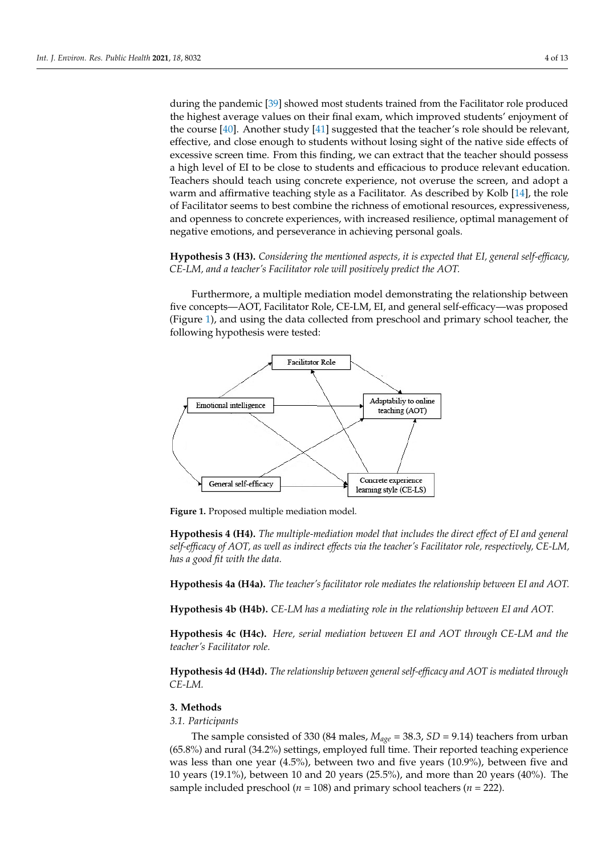during the pandemic [\[39\]](#page-11-18) showed most students trained from the Facilitator role produced<br>Health demonstration model is formed the relationship between the relationship between the relationship betwee the highest average values on their final exam, which improved students' enjoyment of<br>the concepts of the self-efficient of the fill was probed that the teacher's related the values of the course [\[40\]](#page-11-19). Another study [\[41\]](#page-11-20) suggested that the teacher's role should be relevant, effective, and close enough to students without losing sight of the native side effects of excessive screen time. From this finding, we can extract that the teacher should possess a high level of EI to be close to students and efficacious to produce relevant education. Teachers should teach using concrete experience, not overuse the screen, and adopt a redeficited style as a Facilitator. As described by Kolb [\[14\]](#page-10-13), the role warm and affirmative teaching style as a Facilitator. As described by Kolb [14], the role of Facilitator seems to best combine the richness of emotional resources, expressiveness, of Facilitator seems to best combine the richness of emotional resources, expressiveness, and openness to concrete experiences, with increased resilience, optimal management of Interest to concrete experiences, with increased resinence, optimal management was negative emotions, and perseverance in achieving personal goals.

**Hypothesis 3 (H3).** *Considering the mentioned aspects, it is expected that EI, general self-efficacy,* 

Hypothesis 3 (H3). Considering the mentioned aspects, it is expected that EI, general self-efficacy, CE-LM, and a teacher's Facilitator role will positively predict the AOT.

Furthermore, a multiple mediation model demonstrating the relationship between five concepts—AOT, Facilitator Role, CE-LM, EI, and general self-efficacy—was proposed Figure [1\)](#page-3-0), and using the data collected from preschool and primary school teacher, the following hypothesis were tested:

<span id="page-3-0"></span>

**Figure 1.** Proposed multiple mediation model. **Figure 1.** Proposed multiple mediation model.

**Hypothesis 4 (H4).** *The multiple-mediation model that includes the direct effect of EI and general self-efficacy of AOT, as well as indirect effects via the teacher's Facilitator role, respectively, CE-LM, has a good fit with the data.*

**Hypothesis 4a (H4a).** *The teacher's facilitator role mediates the relationship between EI and AOT.*

**Hypothesis 4b (H4b).** *CE-LM has a mediating role in the relationship between EI and AOT.*

**Hypothesis 4c (H4c).** *Here, serial mediation between EI and AOT through CE-LM and the teacher's Facilitator role.*

**Hypothesis 4d (H4d).** *The relationship between general self-efficacy and AOT is mediated through CE-LM.*

### **3. Methods**

*3.1. Participants*

The sample consisted of 330 (84 males,  $M_{age} = 38.3$ ,  $SD = 9.14$ ) teachers from urban (65.8%) and rural (34.2%) settings, employed full time. Their reported teaching experience was less than one year (4.5%), between two and five years (10.9%), between five and 10 years (19.1%), between 10 and 20 years (25.5%), and more than 20 years (40%). The sample included preschool ( $n = 108$ ) and primary school teachers ( $n = 222$ ).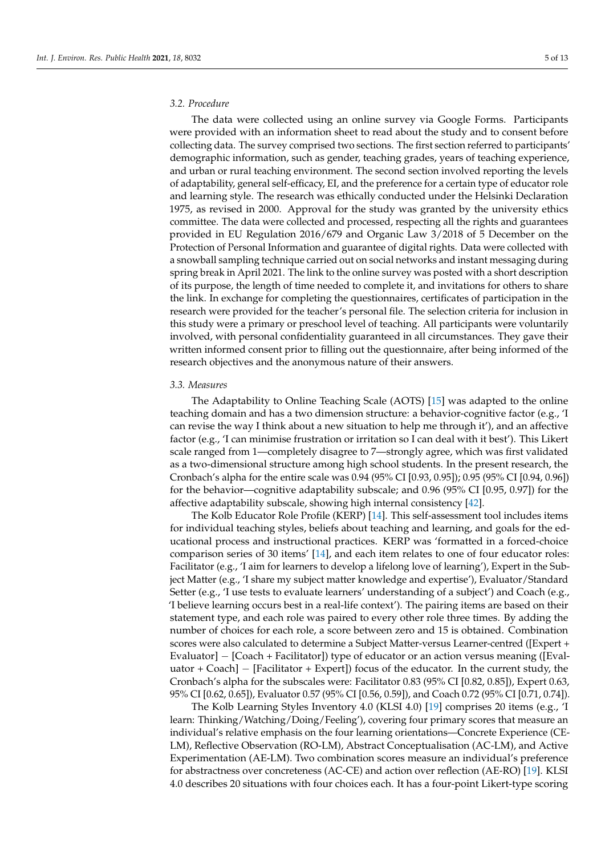# *3.2. Procedure*

The data were collected using an online survey via Google Forms. Participants were provided with an information sheet to read about the study and to consent before collecting data. The survey comprised two sections. The first section referred to participants' demographic information, such as gender, teaching grades, years of teaching experience, and urban or rural teaching environment. The second section involved reporting the levels of adaptability, general self-efficacy, EI, and the preference for a certain type of educator role and learning style. The research was ethically conducted under the Helsinki Declaration 1975, as revised in 2000. Approval for the study was granted by the university ethics committee. The data were collected and processed, respecting all the rights and guarantees provided in EU Regulation 2016/679 and Organic Law 3/2018 of 5 December on the Protection of Personal Information and guarantee of digital rights. Data were collected with a snowball sampling technique carried out on social networks and instant messaging during spring break in April 2021. The link to the online survey was posted with a short description of its purpose, the length of time needed to complete it, and invitations for others to share the link. In exchange for completing the questionnaires, certificates of participation in the research were provided for the teacher's personal file. The selection criteria for inclusion in this study were a primary or preschool level of teaching. All participants were voluntarily involved, with personal confidentiality guaranteed in all circumstances. They gave their written informed consent prior to filling out the questionnaire, after being informed of the research objectives and the anonymous nature of their answers.

#### *3.3. Measures*

The Adaptability to Online Teaching Scale (AOTS) [\[15\]](#page-10-14) was adapted to the online teaching domain and has a two dimension structure: a behavior-cognitive factor (e.g., 'I can revise the way I think about a new situation to help me through it'), and an affective factor (e.g., 'I can minimise frustration or irritation so I can deal with it best'). This Likert scale ranged from 1—completely disagree to 7—strongly agree, which was first validated as a two-dimensional structure among high school students. In the present research, the Cronbach's alpha for the entire scale was 0.94 (95% CI [0.93, 0.95]); 0.95 (95% CI [0.94, 0.96]) for the behavior—cognitive adaptability subscale; and 0.96 (95% CI [0.95, 0.97]) for the affective adaptability subscale, showing high internal consistency [\[42\]](#page-11-21).

The Kolb Educator Role Profile (KERP) [\[14\]](#page-10-13). This self-assessment tool includes items for individual teaching styles, beliefs about teaching and learning, and goals for the educational process and instructional practices. KERP was 'formatted in a forced-choice comparison series of 30 items' [\[14\]](#page-10-13), and each item relates to one of four educator roles: Facilitator (e.g., 'I aim for learners to develop a lifelong love of learning'), Expert in the Subject Matter (e.g., 'I share my subject matter knowledge and expertise'), Evaluator/Standard Setter (e.g., 'I use tests to evaluate learners' understanding of a subject') and Coach (e.g., 'I believe learning occurs best in a real-life context'). The pairing items are based on their statement type, and each role was paired to every other role three times. By adding the number of choices for each role, a score between zero and 15 is obtained. Combination scores were also calculated to determine a Subject Matter-versus Learner-centred ([Expert + Evaluator] − [Coach + Facilitator]) type of educator or an action versus meaning ([Evaluator + Coach] – [Facilitator + Expert]) focus of the educator. In the current study, the Cronbach's alpha for the subscales were: Facilitator 0.83 (95% CI [0.82, 0.85]), Expert 0.63, 95% CI [0.62, 0.65]), Evaluator 0.57 (95% CI [0.56, 0.59]), and Coach 0.72 (95% CI [0.71, 0.74]).

The Kolb Learning Styles Inventory 4.0 (KLSI 4.0) [\[19\]](#page-11-0) comprises 20 items (e.g., 'I learn: Thinking/Watching/Doing/Feeling'), covering four primary scores that measure an individual's relative emphasis on the four learning orientations—Concrete Experience (CE-LM), Reflective Observation (RO-LM), Abstract Conceptualisation (AC-LM), and Active Experimentation (AE-LM). Two combination scores measure an individual's preference for abstractness over concreteness (AC-CE) and action over reflection (AE-RO) [\[19\]](#page-11-0). KLSI 4.0 describes 20 situations with four choices each. It has a four-point Likert-type scoring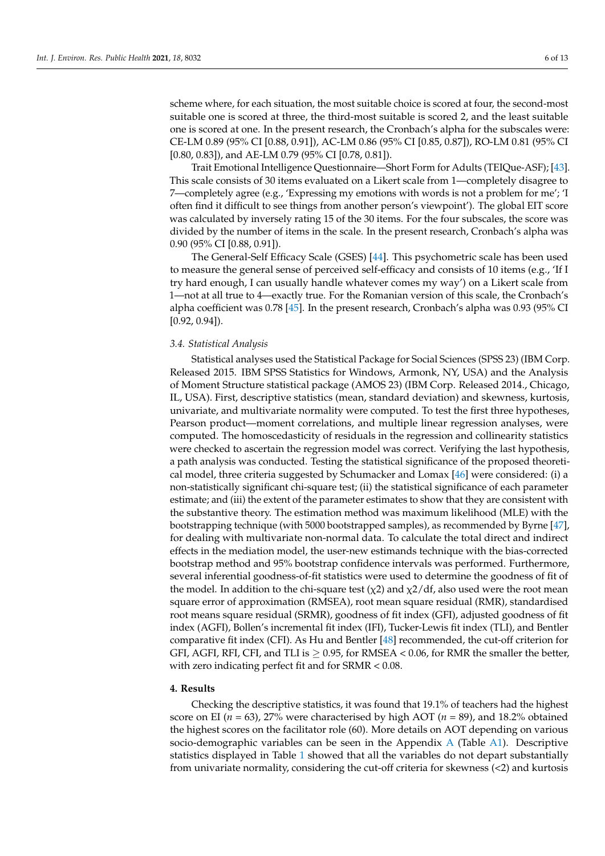scheme where, for each situation, the most suitable choice is scored at four, the second-most suitable one is scored at three, the third-most suitable is scored 2, and the least suitable one is scored at one. In the present research, the Cronbach's alpha for the subscales were: CE-LM 0.89 (95% CI [0.88, 0.91]), AC-LM 0.86 (95% CI [0.85, 0.87]), RO-LM 0.81 (95% CI [0.80, 0.83]), and AE-LM 0.79 (95% CI [0.78, 0.81]).

Trait Emotional Intelligence Questionnaire—Short Form for Adults (TEIQue-ASF); [\[43\]](#page-11-22). This scale consists of 30 items evaluated on a Likert scale from 1—completely disagree to 7—completely agree (e.g., 'Expressing my emotions with words is not a problem for me'; 'I often find it difficult to see things from another person's viewpoint'). The global EIT score was calculated by inversely rating 15 of the 30 items. For the four subscales, the score was divided by the number of items in the scale. In the present research, Cronbach's alpha was 0.90 (95% CI [0.88, 0.91]).

The General-Self Efficacy Scale (GSES) [\[44\]](#page-11-23). This psychometric scale has been used to measure the general sense of perceived self-efficacy and consists of 10 items (e.g., 'If I try hard enough, I can usually handle whatever comes my way') on a Likert scale from 1—not at all true to 4—exactly true. For the Romanian version of this scale, the Cronbach's alpha coefficient was 0.78 [\[45\]](#page-11-24). In the present research, Cronbach's alpha was 0.93 (95% CI [0.92, 0.94]).

#### *3.4. Statistical Analysis*

Statistical analyses used the Statistical Package for Social Sciences (SPSS 23) (IBM Corp. Released 2015. IBM SPSS Statistics for Windows, Armonk, NY, USA) and the Analysis of Moment Structure statistical package (AMOS 23) (IBM Corp. Released 2014., Chicago, IL, USA). First, descriptive statistics (mean, standard deviation) and skewness, kurtosis, univariate, and multivariate normality were computed. To test the first three hypotheses, Pearson product—moment correlations, and multiple linear regression analyses, were computed. The homoscedasticity of residuals in the regression and collinearity statistics were checked to ascertain the regression model was correct. Verifying the last hypothesis, a path analysis was conducted. Testing the statistical significance of the proposed theoretical model, three criteria suggested by Schumacker and Lomax [\[46\]](#page-11-25) were considered: (i) a non-statistically significant chi-square test; (ii) the statistical significance of each parameter estimate; and (iii) the extent of the parameter estimates to show that they are consistent with the substantive theory. The estimation method was maximum likelihood (MLE) with the bootstrapping technique (with 5000 bootstrapped samples), as recommended by Byrne [\[47\]](#page-11-26), for dealing with multivariate non-normal data. To calculate the total direct and indirect effects in the mediation model, the user-new estimands technique with the bias-corrected bootstrap method and 95% bootstrap confidence intervals was performed. Furthermore, several inferential goodness-of-fit statistics were used to determine the goodness of fit of the model. In addition to the chi-square test ( $\chi$ 2) and  $\chi$ 2/df, also used were the root mean square error of approximation (RMSEA), root mean square residual (RMR), standardised root means square residual (SRMR), goodness of fit index (GFI), adjusted goodness of fit index (AGFI), Bollen's incremental fit index (IFI), Tucker-Lewis fit index (TLI), and Bentler comparative fit index (CFI). As Hu and Bentler [\[48\]](#page-12-0) recommended, the cut-off criterion for GFI, AGFI, RFI, CFI, and TLI is  $\geq 0.95$ , for RMSEA < 0.06, for RMR the smaller the better, with zero indicating perfect fit and for SRMR < 0.08.

### **4. Results**

Checking the descriptive statistics, it was found that 19.1% of teachers had the highest score on EI (*n* = 63), 27% were characterised by high AOT (*n* = 89), and 18.2% obtained the highest scores on the facilitator role (60). More details on AOT depending on various socio-demographic variables can be seen in the Appendix [A](#page-10-18) (Table [A1\)](#page-10-19). Descriptive statistics displayed in Table [1](#page-6-0) showed that all the variables do not depart substantially from univariate normality, considering the cut-off criteria for skewness (<2) and kurtosis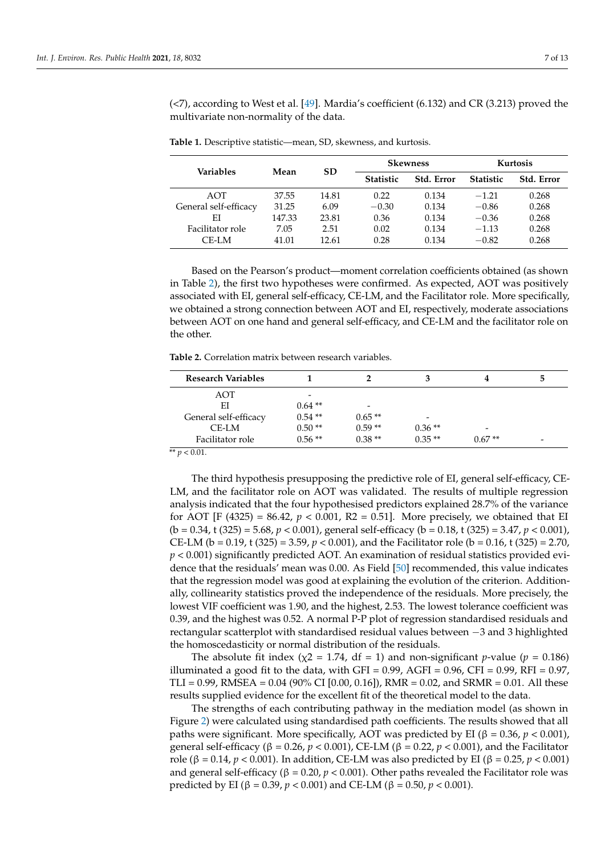(<7), according to West et al. [\[49\]](#page-12-1). Mardia's coefficient (6.132) and CR (3.213) proved the multivariate non-normality of the data.

| <b>Variables</b>      | Mean   | <b>SD</b> | <b>Skewness</b>  |            | Kurtosis         |                   |
|-----------------------|--------|-----------|------------------|------------|------------------|-------------------|
|                       |        |           | <b>Statistic</b> | Std. Error | <b>Statistic</b> | <b>Std. Error</b> |
| AOT                   | 37.55  | 14.81     | 0.22             | 0.134      | $-1.21$          | 0.268             |
| General self-efficacy | 31.25  | 6.09      | $-0.30$          | 0.134      | $-0.86$          | 0.268             |
| ΕI                    | 147.33 | 23.81     | 0.36             | 0.134      | $-0.36$          | 0.268             |
| Facilitator role      | 7.05   | 2.51      | 0.02             | 0.134      | $-1.13$          | 0.268             |
| CE-LM                 | 41.01  | 12.61     | 0.28             | 0.134      | $-0.82$          | 0.268             |

<span id="page-6-0"></span>**Table 1.** Descriptive statistic—mean, SD, skewness, and kurtosis.

Based on the Pearson's product—moment correlation coefficients obtained (as shown in Table [2\)](#page-6-1), the first two hypotheses were confirmed. As expected, AOT was positively associated with EI, general self-efficacy, CE-LM, and the Facilitator role. More specifically, we obtained a strong connection between AOT and EI, respectively, moderate associations between AOT on one hand and general self-efficacy, and CE-LM and the facilitator role on the other.

<span id="page-6-1"></span>**Table 2.** Correlation matrix between research variables.

| <b>Research Variables</b>    |          |                          |          |          | b |
|------------------------------|----------|--------------------------|----------|----------|---|
| AOT                          | -        |                          |          |          |   |
| ΕI                           | $0.64**$ | $\overline{\phantom{0}}$ |          |          |   |
| General self-efficacy        | $0.54**$ | $0.65**$                 | -        |          |   |
| CE-LM                        | $0.50**$ | $0.59**$                 | $0.36**$ | -        |   |
| Facilitator role             | $0.56**$ | $0.38**$                 | $0.35**$ | $0.67**$ | - |
| $-1$<br>$\sim$ $\sim$ $\sim$ |          |                          |          |          |   |

 $\frac{1}{2}$   $\frac{1}{2}$   $\frac{1}{2}$   $\frac{1}{2}$   $\frac{1}{2}$   $\frac{1}{2}$ 

The third hypothesis presupposing the predictive role of EI, general self-efficacy, CE-LM, and the facilitator role on AOT was validated. The results of multiple regression analysis indicated that the four hypothesised predictors explained 28.7% of the variance for AOT [F (4325) = 86.42,  $p < 0.001$ , R2 = 0.51]. More precisely, we obtained that EI (b = 0.34, t (325) = 5.68, *p* < 0.001), general self-efficacy (b = 0.18, t (325) = 3.47, *p* < 0.001), CE-LM (b = 0.19, t (325) = 3.59, *p* < 0.001), and the Facilitator role (b = 0.16, t (325) = 2.70, *p* < 0.001) significantly predicted AOT. An examination of residual statistics provided evidence that the residuals' mean was 0.00. As Field [\[50\]](#page-12-2) recommended, this value indicates that the regression model was good at explaining the evolution of the criterion. Additionally, collinearity statistics proved the independence of the residuals. More precisely, the lowest VIF coefficient was 1.90, and the highest, 2.53. The lowest tolerance coefficient was 0.39, and the highest was 0.52. A normal P-P plot of regression standardised residuals and rectangular scatterplot with standardised residual values between −3 and 3 highlighted the homoscedasticity or normal distribution of the residuals.

The absolute fit index ( $\chi$ 2 = 1.74, df = 1) and non-significant *p*-value (*p* = 0.186) illuminated a good fit to the data, with GFI =  $0.99$ , AGFI =  $0.96$ , CFI =  $0.99$ , RFI =  $0.97$ , TLI = 0.99, RMSEA = 0.04 (90% CI [0.00, 0.16]), RMR = 0.02, and SRMR = 0.01. All these results supplied evidence for the excellent fit of the theoretical model to the data.

The strengths of each contributing pathway in the mediation model (as shown in Figure [2\)](#page-7-0) were calculated using standardised path coefficients. The results showed that all paths were significant. More specifically, AOT was predicted by EI ( $\beta = 0.36$ ,  $p < 0.001$ ), general self-efficacy (β = 0.26, *p* < 0.001), CE-LM (β = 0.22, *p* < 0.001), and the Facilitator role (β = 0.14, *p* < 0.001). In addition, CE-LM was also predicted by EI (β = 0.25, *p* < 0.001) and general self-efficacy (β = 0.20,  $p$  < 0.001). Other paths revealed the Facilitator role was predicted by EI (β = 0.39, *p* < 0.001) and CE-LM (β = 0.50, *p* < 0.001).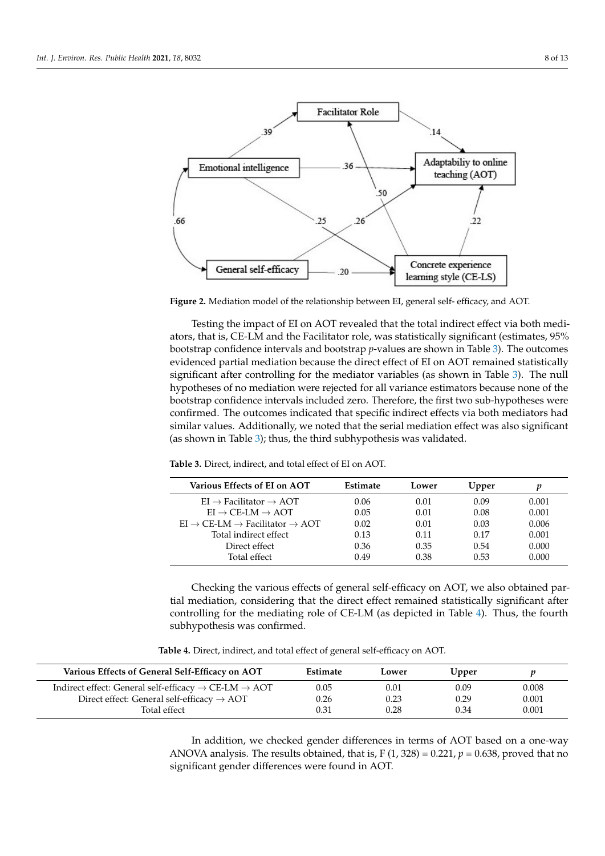<span id="page-7-0"></span>

dicted by EI (β = 0.39, *p* < 0.001) and CE-LS (β = 0.50, *p* < 0.001).

**Figure 2.** Mediation model of the relationship between EI, general self- efficacy, and AOT. **Figure 2.** Mediation model of the relationship between EI, general self- efficacy, and AOT.

ators, that is, CE-LM and the Facilitator role, was statistically significant (estimates, 95% bootstrap confidence intervals and bootstrap *p*-values are shown in Table 3). The outcomes evidenced partial mediation because the direct effect of EI on AOT remained statistically significant after controlling for the mediator variables (as shown in Table 3). The null hypotheses of no mediation were rejected for all variance estimators because none of the bootstrap confidence intervals included zero. Therefore, the first two sub-hypotheses were confirmed. The outcomes indicated that specific indirect effects via both mediators had similar values. Additionally, we noted that the serial mediation effect was also significant (as shown in Table 3); thus, the third subhypothesis was validated. Testing the impact of EI on AOT revealed that the total indirect effect via both medi-

| Various Effects of EI on AOT                                   | Estimate | Lower | Upper |       |
|----------------------------------------------------------------|----------|-------|-------|-------|
| $EI \rightarrow$ Facilitator $\rightarrow$ AOT                 | 0.06     | 0.01  | 0.09  | 0.001 |
| $EI \rightarrow CE-LM \rightarrow AOT$                         | 0.05     | 0.01  | 0.08  | 0.001 |
| $EI \rightarrow CE-LM \rightarrow Facilitator \rightarrow AOT$ | 0.02     | 0.01  | 0.03  | 0.006 |
| Total indirect effect                                          | 0.13     | 0.11  | 0.17  | 0.001 |
| Direct effect                                                  | 0.36     | 0.35  | 0.54  | 0.000 |
| Total effect                                                   | 0.49     | 0.38  | 0.53  | 0.000 |

<span id="page-7-1"></span>**Table 3.** Direct, indirect, and total effect of EI on AOT.

Total effect 0.49 0.38 0.53 0.000 Checking the various effects of general self-efficacy on AOT, we also obtained partial mediation, considering that the direct effect remained statistically significant after controlling for the mediating role of CE-LM (as depicted in Table [4\)](#page-7-2). Thus, the fourth subhypothesis was confirmed.

**Table 4.** Direct, indirect, and total effect of general self-efficacy on AOT.

<span id="page-7-2"></span>

| Various Effects of General Self-Efficacy on AOT                              | Estimate | Lower | Upper |       |
|------------------------------------------------------------------------------|----------|-------|-------|-------|
| Indirect effect: General self-efficacy $\rightarrow$ CE-LM $\rightarrow$ AOT | 0.05     | 0.01  | 0.09  | 0.008 |
| Direct effect: General self-efficacy $\rightarrow$ AOT                       | 0.26     | 0.23  | 0.29  | 0.001 |
| Total effect                                                                 | 0.31     | 0.28  | 0.34  | 0.001 |

In addition, we checked gender differences in terms of AOT based on a one-way ANOVA analysis. The results obtained, that is,  $F(1, 328) = 0.221$ ,  $p = 0.638$ , proved that no significant gender differences were found in AOT.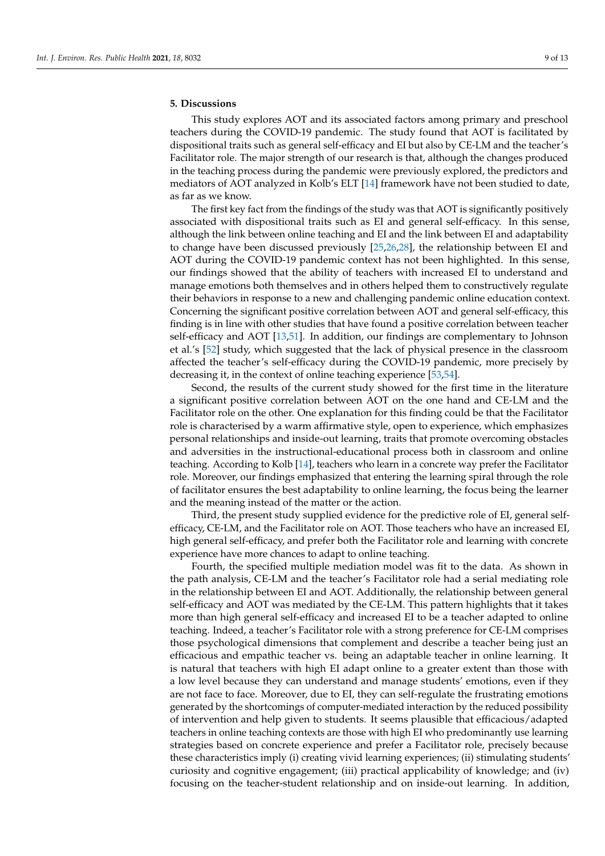# **5. Discussions**

This study explores AOT and its associated factors among primary and preschool teachers during the COVID-19 pandemic. The study found that AOT is facilitated by dispositional traits such as general self-efficacy and EI but also by CE-LM and the teacher's Facilitator role. The major strength of our research is that, although the changes produced in the teaching process during the pandemic were previously explored, the predictors and mediators of AOT analyzed in Kolb's ELT [\[14\]](#page-10-13) framework have not been studied to date, as far as we know.

The first key fact from the findings of the study was that AOT is significantly positively associated with dispositional traits such as EI and general self-efficacy. In this sense, although the link between online teaching and EI and the link between EI and adaptability to change have been discussed previously [\[25,](#page-11-27)[26,](#page-11-5)[28\]](#page-11-7), the relationship between EI and AOT during the COVID-19 pandemic context has not been highlighted. In this sense, our findings showed that the ability of teachers with increased EI to understand and manage emotions both themselves and in others helped them to constructively regulate their behaviors in response to a new and challenging pandemic online education context. Concerning the significant positive correlation between AOT and general self-efficacy, this finding is in line with other studies that have found a positive correlation between teacher self-efficacy and AOT [\[13](#page-10-12)[,51\]](#page-12-3). In addition, our findings are complementary to Johnson et al.'s [\[52\]](#page-12-4) study, which suggested that the lack of physical presence in the classroom affected the teacher's self-efficacy during the COVID-19 pandemic, more precisely by decreasing it, in the context of online teaching experience [\[53,](#page-12-5)[54\]](#page-12-6).

Second, the results of the current study showed for the first time in the literature a significant positive correlation between AOT on the one hand and CE-LM and the Facilitator role on the other. One explanation for this finding could be that the Facilitator role is characterised by a warm affirmative style, open to experience, which emphasizes personal relationships and inside-out learning, traits that promote overcoming obstacles and adversities in the instructional-educational process both in classroom and online teaching. According to Kolb [\[14\]](#page-10-13), teachers who learn in a concrete way prefer the Facilitator role. Moreover, our findings emphasized that entering the learning spiral through the role of facilitator ensures the best adaptability to online learning, the focus being the learner and the meaning instead of the matter or the action.

Third, the present study supplied evidence for the predictive role of EI, general selfefficacy, CE-LM, and the Facilitator role on AOT. Those teachers who have an increased EI, high general self-efficacy, and prefer both the Facilitator role and learning with concrete experience have more chances to adapt to online teaching.

Fourth, the specified multiple mediation model was fit to the data. As shown in the path analysis, CE-LM and the teacher's Facilitator role had a serial mediating role in the relationship between EI and AOT. Additionally, the relationship between general self-efficacy and AOT was mediated by the CE-LM. This pattern highlights that it takes more than high general self-efficacy and increased EI to be a teacher adapted to online teaching. Indeed, a teacher's Facilitator role with a strong preference for CE-LM comprises those psychological dimensions that complement and describe a teacher being just an efficacious and empathic teacher vs. being an adaptable teacher in online learning. It is natural that teachers with high EI adapt online to a greater extent than those with a low level because they can understand and manage students' emotions, even if they are not face to face. Moreover, due to EI, they can self-regulate the frustrating emotions generated by the shortcomings of computer-mediated interaction by the reduced possibility of intervention and help given to students. It seems plausible that efficacious/adapted teachers in online teaching contexts are those with high EI who predominantly use learning strategies based on concrete experience and prefer a Facilitator role, precisely because these characteristics imply (i) creating vivid learning experiences; (ii) stimulating students' curiosity and cognitive engagement; (iii) practical applicability of knowledge; and (iv) focusing on the teacher-student relationship and on inside-out learning. In addition,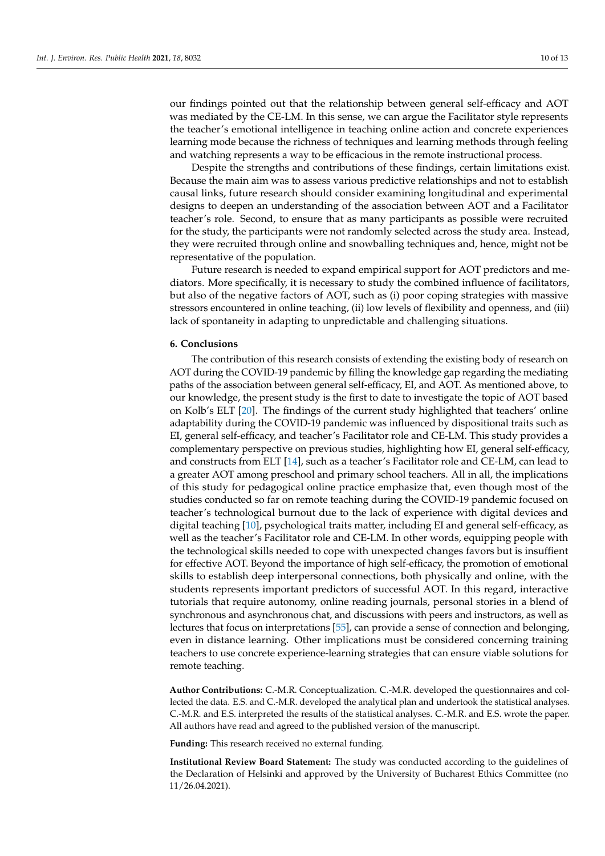our findings pointed out that the relationship between general self-efficacy and AOT was mediated by the CE-LM. In this sense, we can argue the Facilitator style represents the teacher's emotional intelligence in teaching online action and concrete experiences learning mode because the richness of techniques and learning methods through feeling and watching represents a way to be efficacious in the remote instructional process.

Despite the strengths and contributions of these findings, certain limitations exist. Because the main aim was to assess various predictive relationships and not to establish causal links, future research should consider examining longitudinal and experimental designs to deepen an understanding of the association between AOT and a Facilitator teacher's role. Second, to ensure that as many participants as possible were recruited for the study, the participants were not randomly selected across the study area. Instead, they were recruited through online and snowballing techniques and, hence, might not be representative of the population.

Future research is needed to expand empirical support for AOT predictors and mediators. More specifically, it is necessary to study the combined influence of facilitators, but also of the negative factors of AOT, such as (i) poor coping strategies with massive stressors encountered in online teaching, (ii) low levels of flexibility and openness, and (iii) lack of spontaneity in adapting to unpredictable and challenging situations.

#### **6. Conclusions**

The contribution of this research consists of extending the existing body of research on AOT during the COVID-19 pandemic by filling the knowledge gap regarding the mediating paths of the association between general self-efficacy, EI, and AOT. As mentioned above, to our knowledge, the present study is the first to date to investigate the topic of AOT based on Kolb's ELT [\[20\]](#page-11-1). The findings of the current study highlighted that teachers' online adaptability during the COVID-19 pandemic was influenced by dispositional traits such as EI, general self-efficacy, and teacher's Facilitator role and CE-LM. This study provides a complementary perspective on previous studies, highlighting how EI, general self-efficacy, and constructs from ELT [\[14\]](#page-10-13), such as a teacher's Facilitator role and CE-LM, can lead to a greater AOT among preschool and primary school teachers. All in all, the implications of this study for pedagogical online practice emphasize that, even though most of the studies conducted so far on remote teaching during the COVID-19 pandemic focused on teacher's technological burnout due to the lack of experience with digital devices and digital teaching [\[10\]](#page-10-9), psychological traits matter, including EI and general self-efficacy, as well as the teacher's Facilitator role and CE-LM. In other words, equipping people with the technological skills needed to cope with unexpected changes favors but is insuffient for effective AOT. Beyond the importance of high self-efficacy, the promotion of emotional skills to establish deep interpersonal connections, both physically and online, with the students represents important predictors of successful AOT. In this regard, interactive tutorials that require autonomy, online reading journals, personal stories in a blend of synchronous and asynchronous chat, and discussions with peers and instructors, as well as lectures that focus on interpretations [\[55\]](#page-12-7), can provide a sense of connection and belonging, even in distance learning. Other implications must be considered concerning training teachers to use concrete experience-learning strategies that can ensure viable solutions for remote teaching.

**Author Contributions:** C.-M.R. Conceptualization. C.-M.R. developed the questionnaires and collected the data. E.S. and C.-M.R. developed the analytical plan and undertook the statistical analyses. C.-M.R. and E.S. interpreted the results of the statistical analyses. C.-M.R. and E.S. wrote the paper. All authors have read and agreed to the published version of the manuscript.

**Funding:** This research received no external funding.

**Institutional Review Board Statement:** The study was conducted according to the guidelines of the Declaration of Helsinki and approved by the University of Bucharest Ethics Committee (no 11/26.04.2021).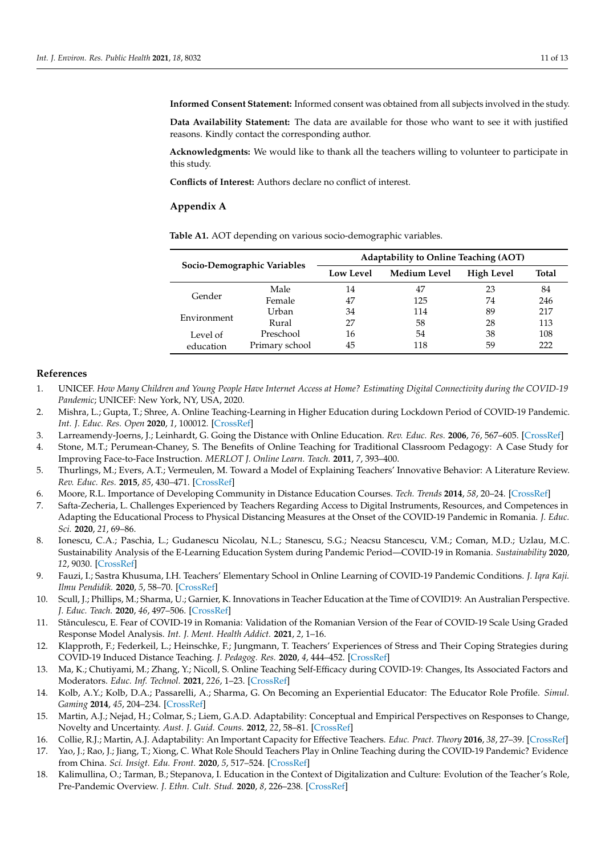**Informed Consent Statement:** Informed consent was obtained from all subjects involved in the study.

**Data Availability Statement:** The data are available for those who want to see it with justified reasons. Kindly contact the corresponding author.

**Acknowledgments:** We would like to thank all the teachers willing to volunteer to participate in this study.

**Conflicts of Interest:** Authors declare no conflict of interest.

#### <span id="page-10-18"></span>**Appendix A**

| Socio-Demographic Variables |                | Adaptability to Online Teaching (AOT) |                     |                   |              |  |  |
|-----------------------------|----------------|---------------------------------------|---------------------|-------------------|--------------|--|--|
|                             |                | <b>Low Level</b>                      | <b>Medium Level</b> | <b>High Level</b> | <b>Total</b> |  |  |
| Gender                      | Male           | 14                                    | 47                  | 23                | 84           |  |  |
|                             | Female         | 47                                    | 125                 | 74                | 246          |  |  |
| Environment                 | Urban          | 34                                    | 114                 | 89                | 217          |  |  |
|                             | Rural          | 27                                    | 58                  | 28                | 113          |  |  |
| Level of                    | Preschool      | 16                                    | 54                  | 38                | 108          |  |  |
| education                   | Primary school | 45                                    | 118                 | 59                | 222          |  |  |

<span id="page-10-19"></span>**Table A1.** AOT depending on various socio-demographic variables.

# **References**

- <span id="page-10-0"></span>1. UNICEF. *How Many Children and Young People Have Internet Access at Home? Estimating Digital Connectivity during the COVID-19 Pandemic*; UNICEF: New York, NY, USA, 2020.
- <span id="page-10-1"></span>2. Mishra, L.; Gupta, T.; Shree, A. Online Teaching-Learning in Higher Education during Lockdown Period of COVID-19 Pandemic. *Int. J. Educ. Res. Open* **2020**, *1*, 100012. [\[CrossRef\]](http://doi.org/10.1016/j.ijedro.2020.100012)
- <span id="page-10-2"></span>3. Larreamendy-Joerns, J.; Leinhardt, G. Going the Distance with Online Education. *Rev. Educ. Res.* **2006**, *76*, 567–605. [\[CrossRef\]](http://doi.org/10.3102/00346543076004567)
- <span id="page-10-3"></span>4. Stone, M.T.; Perumean-Chaney, S. The Benefits of Online Teaching for Traditional Classroom Pedagogy: A Case Study for Improving Face-to-Face Instruction. *MERLOT J. Online Learn. Teach.* **2011**, *7*, 393–400.
- <span id="page-10-4"></span>5. Thurlings, M.; Evers, A.T.; Vermeulen, M. Toward a Model of Explaining Teachers' Innovative Behavior: A Literature Review. *Rev. Educ. Res.* **2015**, *85*, 430–471. [\[CrossRef\]](http://doi.org/10.3102/0034654314557949)
- <span id="page-10-5"></span>6. Moore, R.L. Importance of Developing Community in Distance Education Courses. *Tech. Trends* **2014**, *58*, 20–24. [\[CrossRef\]](http://doi.org/10.1007/s11528-014-0733-x)
- <span id="page-10-6"></span>7. Safta-Zecheria, L. Challenges Experienced by Teachers Regarding Access to Digital Instruments, Resources, and Competences in Adapting the Educational Process to Physical Distancing Measures at the Onset of the COVID-19 Pandemic in Romania. *J. Educ. Sci.* **2020**, *21*, 69–86.
- <span id="page-10-7"></span>8. Ionescu, C.A.; Paschia, L.; Gudanescu Nicolau, N.L.; Stanescu, S.G.; Neacsu Stancescu, V.M.; Coman, M.D.; Uzlau, M.C. Sustainability Analysis of the E-Learning Education System during Pandemic Period—COVID-19 in Romania. *Sustainability* **2020**, *12*, 9030. [\[CrossRef\]](http://doi.org/10.3390/su12219030)
- <span id="page-10-8"></span>9. Fauzi, I.; Sastra Khusuma, I.H. Teachers' Elementary School in Online Learning of COVID-19 Pandemic Conditions. *J. Iqra Kaji. Ilmu Pendidik.* **2020**, *5*, 58–70. [\[CrossRef\]](http://doi.org/10.25217/ji.v5i1.914)
- <span id="page-10-9"></span>10. Scull, J.; Phillips, M.; Sharma, U.; Garnier, K. Innovations in Teacher Education at the Time of COVID19: An Australian Perspective. *J. Educ. Teach.* **2020**, *46*, 497–506. [\[CrossRef\]](http://doi.org/10.1080/02607476.2020.1802701)
- <span id="page-10-10"></span>11. Stănculescu, E. Fear of COVID-19 in Romania: Validation of the Romanian Version of the Fear of COVID-19 Scale Using Graded Response Model Analysis. *Int. J. Ment. Health Addict.* **2021**, *2*, 1–16.
- <span id="page-10-11"></span>12. Klapproth, F.; Federkeil, L.; Heinschke, F.; Jungmann, T. Teachers' Experiences of Stress and Their Coping Strategies during COVID-19 Induced Distance Teaching. *J. Pedagog. Res.* **2020**, *4*, 444–452. [\[CrossRef\]](http://doi.org/10.33902/JPR.2020062805)
- <span id="page-10-12"></span>13. Ma, K.; Chutiyami, M.; Zhang, Y.; Nicoll, S. Online Teaching Self-Efficacy during COVID-19: Changes, Its Associated Factors and Moderators. *Educ. Inf. Technol.* **2021**, *226*, 1–23. [\[CrossRef\]](http://doi.org/10.1007/s10639-021-10486-3)
- <span id="page-10-13"></span>14. Kolb, A.Y.; Kolb, D.A.; Passarelli, A.; Sharma, G. On Becoming an Experiential Educator: The Educator Role Profile. *Simul. Gaming* **2014**, *45*, 204–234. [\[CrossRef\]](http://doi.org/10.1177/1046878114534383)
- <span id="page-10-14"></span>15. Martin, A.J.; Nejad, H.; Colmar, S.; Liem, G.A.D. Adaptability: Conceptual and Empirical Perspectives on Responses to Change, Novelty and Uncertainty. *Aust. J. Guid. Couns.* **2012**, *22*, 58–81. [\[CrossRef\]](http://doi.org/10.1017/jgc.2012.8)
- <span id="page-10-15"></span>16. Collie, R.J.; Martin, A.J. Adaptability: An Important Capacity for Effective Teachers. *Educ. Pract. Theory* **2016**, *38*, 27–39. [\[CrossRef\]](http://doi.org/10.7459/ept/38.1.03)
- <span id="page-10-16"></span>17. Yao, J.; Rao, J.; Jiang, T.; Xiong, C. What Role Should Teachers Play in Online Teaching during the COVID-19 Pandemic? Evidence from China. *Sci. Insigt. Edu. Front.* **2020**, *5*, 517–524. [\[CrossRef\]](http://doi.org/10.15354/sief.20.ar035)
- <span id="page-10-17"></span>18. Kalimullina, O.; Tarman, B.; Stepanova, I. Education in the Context of Digitalization and Culture: Evolution of the Teacher's Role, Pre-Pandemic Overview. *J. Ethn. Cult. Stud.* **2020**, *8*, 226–238. [\[CrossRef\]](http://doi.org/10.29333/ejecs/629)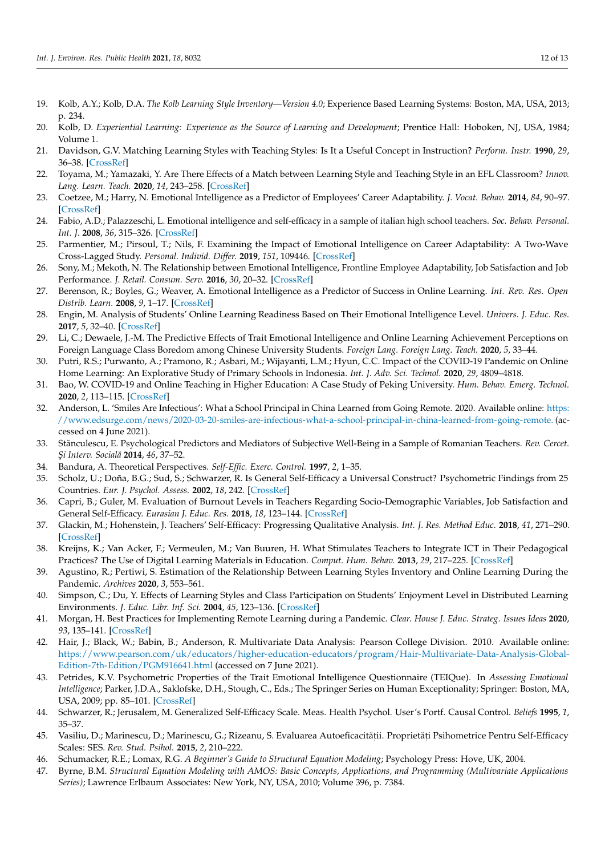- <span id="page-11-0"></span>19. Kolb, A.Y.; Kolb, D.A. *The Kolb Learning Style Inventory—Version 4.0*; Experience Based Learning Systems: Boston, MA, USA, 2013; p. 234.
- <span id="page-11-1"></span>20. Kolb, D. *Experiential Learning: Experience as the Source of Learning and Development; Prentice Hall: Hoboken, NJ, USA, 1984;* Volume 1.
- <span id="page-11-2"></span>21. Davidson, G.V. Matching Learning Styles with Teaching Styles: Is It a Useful Concept in Instruction? *Perform. Instr.* **1990**, *29*, 36–38. [\[CrossRef\]](http://doi.org/10.1002/pfi.4160290410)
- <span id="page-11-3"></span>22. Toyama, M.; Yamazaki, Y. Are There Effects of a Match between Learning Style and Teaching Style in an EFL Classroom? *Innov. Lang. Learn. Teach.* **2020**, *14*, 243–258. [\[CrossRef\]](http://doi.org/10.1080/17501229.2019.1575386)
- <span id="page-11-4"></span>23. Coetzee, M.; Harry, N. Emotional Intelligence as a Predictor of Employees' Career Adaptability. *J. Vocat. Behav.* **2014**, *84*, 90–97. [\[CrossRef\]](http://doi.org/10.1016/j.jvb.2013.09.001)
- 24. Fabio, A.D.; Palazzeschi, L. Emotional intelligence and self-efficacy in a sample of italian high school teachers. *Soc. Behav. Personal. Int. J.* **2008**, *36*, 315–326. [\[CrossRef\]](http://doi.org/10.2224/sbp.2008.36.3.315)
- <span id="page-11-27"></span>25. Parmentier, M.; Pirsoul, T.; Nils, F. Examining the Impact of Emotional Intelligence on Career Adaptability: A Two-Wave Cross-Lagged Study. *Personal. Individ. Differ.* **2019**, *151*, 109446. [\[CrossRef\]](http://doi.org/10.1016/j.paid.2019.05.052)
- <span id="page-11-5"></span>26. Sony, M.; Mekoth, N. The Relationship between Emotional Intelligence, Frontline Employee Adaptability, Job Satisfaction and Job Performance. *J. Retail. Consum. Serv.* **2016**, *30*, 20–32. [\[CrossRef\]](http://doi.org/10.1016/j.jretconser.2015.12.003)
- <span id="page-11-6"></span>27. Berenson, R.; Boyles, G.; Weaver, A. Emotional Intelligence as a Predictor of Success in Online Learning. *Int. Rev. Res. Open Distrib. Learn.* **2008**, *9*, 1–17. [\[CrossRef\]](http://doi.org/10.19173/irrodl.v9i2.385)
- <span id="page-11-7"></span>28. Engin, M. Analysis of Students' Online Learning Readiness Based on Their Emotional Intelligence Level. *Univers. J. Educ. Res.* **2017**, *5*, 32–40. [\[CrossRef\]](http://doi.org/10.13189/ujer.2017.051306)
- <span id="page-11-8"></span>29. Li, C.; Dewaele, J.-M. The Predictive Effects of Trait Emotional Intelligence and Online Learning Achievement Perceptions on Foreign Language Class Boredom among Chinese University Students. *Foreign Lang. Foreign Lang. Teach.* **2020**, *5*, 33–44.
- <span id="page-11-9"></span>30. Putri, R.S.; Purwanto, A.; Pramono, R.; Asbari, M.; Wijayanti, L.M.; Hyun, C.C. Impact of the COVID-19 Pandemic on Online Home Learning: An Explorative Study of Primary Schools in Indonesia. *Int. J. Adv. Sci. Technol.* **2020**, *29*, 4809–4818.
- <span id="page-11-10"></span>31. Bao, W. COVID-19 and Online Teaching in Higher Education: A Case Study of Peking University. *Hum. Behav. Emerg. Technol.* **2020**, *2*, 113–115. [\[CrossRef\]](http://doi.org/10.1002/hbe2.191)
- <span id="page-11-11"></span>32. Anderson, L. 'Smiles Are Infectious': What a School Principal in China Learned from Going Remote. 2020. Available online: [https:](https://www.edsurge.com/news/2020-03-20-smiles-are-infectious-what-a-school-principal-in-china-learned-from-going-remote.) [//www.edsurge.com/news/2020-03-20-smiles-are-infectious-what-a-school-principal-in-china-learned-from-going-remote.](https://www.edsurge.com/news/2020-03-20-smiles-are-infectious-what-a-school-principal-in-china-learned-from-going-remote.) (accessed on 4 June 2021).
- <span id="page-11-12"></span>33. Stănculescu, E. Psychological Predictors and Mediators of Subjective Well-Being in a Sample of Romanian Teachers. *Rev. Cercet. ¸Si Interv. Socială* **2014**, *46*, 37–52.
- <span id="page-11-13"></span>34. Bandura, A. Theoretical Perspectives. *Self-Effic. Exerc. Control.* **1997**, *2*, 1–35.
- <span id="page-11-14"></span>35. Scholz, U.; Doña, B.G.; Sud, S.; Schwarzer, R. Is General Self-Efficacy a Universal Construct? Psychometric Findings from 25 Countries. *Eur. J. Psychol. Assess.* **2002**, *18*, 242. [\[CrossRef\]](http://doi.org/10.1027//1015-5759.18.3.242)
- <span id="page-11-15"></span>36. Capri, B.; Guler, M. Evaluation of Burnout Levels in Teachers Regarding Socio-Demographic Variables, Job Satisfaction and General Self-Efficacy. *Eurasian J. Educ. Res.* **2018**, *18*, 123–144. [\[CrossRef\]](http://doi.org/10.14689/ejer.2018.74.7)
- <span id="page-11-16"></span>37. Glackin, M.; Hohenstein, J. Teachers' Self-Efficacy: Progressing Qualitative Analysis. *Int. J. Res. Method Educ.* **2018**, *41*, 271–290. [\[CrossRef\]](http://doi.org/10.1080/1743727X.2017.1295940)
- <span id="page-11-17"></span>38. Kreijns, K.; Van Acker, F.; Vermeulen, M.; Van Buuren, H. What Stimulates Teachers to Integrate ICT in Their Pedagogical Practices? The Use of Digital Learning Materials in Education. *Comput. Hum. Behav.* **2013**, *29*, 217–225. [\[CrossRef\]](http://doi.org/10.1016/j.chb.2012.08.008)
- <span id="page-11-18"></span>39. Agustino, R.; Pertiwi, S. Estimation of the Relationship Between Learning Styles Inventory and Online Learning During the Pandemic. *Archives* **2020**, *3*, 553–561.
- <span id="page-11-19"></span>40. Simpson, C.; Du, Y. Effects of Learning Styles and Class Participation on Students' Enjoyment Level in Distributed Learning Environments. *J. Educ. Libr. Inf. Sci.* **2004**, *45*, 123–136. [\[CrossRef\]](http://doi.org/10.2307/40323899)
- <span id="page-11-20"></span>41. Morgan, H. Best Practices for Implementing Remote Learning during a Pandemic. *Clear. House J. Educ. Strateg. Issues Ideas* **2020**, *93*, 135–141. [\[CrossRef\]](http://doi.org/10.1080/00098655.2020.1751480)
- <span id="page-11-21"></span>42. Hair, J.; Black, W.; Babin, B.; Anderson, R. Multivariate Data Analysis: Pearson College Division. 2010. Available online: [https://www.pearson.com/uk/educators/higher-education-educators/program/Hair-Multivariate-Data-Analysis-Global-](https://www.pearson.com/uk/educators/higher-education-educators/program/Hair-Multivariate-Data-Analysis-Global-Edition-7th-Edition/PGM916641.html)[Edition-7th-Edition/PGM916641.html](https://www.pearson.com/uk/educators/higher-education-educators/program/Hair-Multivariate-Data-Analysis-Global-Edition-7th-Edition/PGM916641.html) (accessed on 7 June 2021).
- <span id="page-11-22"></span>43. Petrides, K.V. Psychometric Properties of the Trait Emotional Intelligence Questionnaire (TEIQue). In *Assessing Emotional Intelligence*; Parker, J.D.A., Saklofske, D.H., Stough, C., Eds.; The Springer Series on Human Exceptionality; Springer: Boston, MA, USA, 2009; pp. 85–101. [\[CrossRef\]](http://doi.org/10.1007/978-0-387-88370-0_5)
- <span id="page-11-23"></span>44. Schwarzer, R.; Jerusalem, M. Generalized Self-Efficacy Scale. Meas. Health Psychol. User's Portf. Causal Control. *Beliefs* **1995**, *1*, 35–37.
- <span id="page-11-24"></span>45. Vasiliu, D.; Marinescu, D.; Marinescu, G.; Rizeanu, S. Evaluarea Autoeficacității. Proprietăți Psihometrice Pentru Self-Efficacy Scales: SES. *Rev. Stud. Psihol.* **2015**, *2*, 210–222.
- <span id="page-11-25"></span>46. Schumacker, R.E.; Lomax, R.G. *A Beginner's Guide to Structural Equation Modeling*; Psychology Press: Hove, UK, 2004.
- <span id="page-11-26"></span>47. Byrne, B.M. *Structural Equation Modeling with AMOS: Basic Concepts, Applications, and Programming (Multivariate Applications Series)*; Lawrence Erlbaum Associates: New York, NY, USA, 2010; Volume 396, p. 7384.